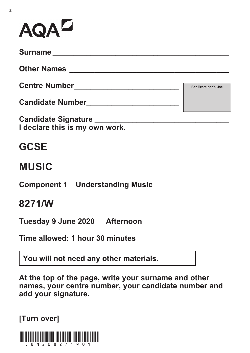# AQA-

#### **Surname Surname**

**Other Names \_\_\_\_\_\_\_\_\_\_\_\_\_\_\_\_\_\_\_\_\_\_\_\_\_\_\_\_\_\_\_\_\_\_\_\_\_\_**

**Centre Number\_\_\_\_\_\_\_\_\_\_\_\_\_\_\_\_\_\_\_\_\_\_\_\_\_**

**For Examiner's Use**

**Candidate Number\_\_\_\_\_\_\_\_\_\_\_\_\_\_\_\_\_\_\_\_\_\_**

**Candidate Signature \_\_\_\_\_\_\_\_\_\_\_\_\_\_\_\_\_\_\_\_\_\_\_\_\_\_\_\_\_\_\_\_ I declare this is my own work.**

## **GCSE**

## **MUSIC**

**Component 1 Understanding Music**

### **8271/W**

**Tuesday 9 June 2020 Afternoon**

**Time allowed: 1 hour 30 minutes**

**You will not need any other materials.**

**At the top of the page, write your surname and other names, your centre number, your candidate number and add your signature.**

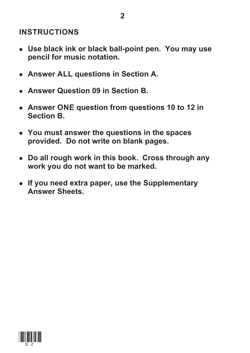#### **INSTRUCTIONS**

- **Use black ink or black ball-point pen. You may use pencil for music notation.**
- **Answer ALL questions in Section A.**
- **Answer Question 09 in Section B.**
- **Answer ONE question from questions 10 to 12 in Section B.**
- **You must answer the questions in the spaces provided. Do not write on blank pages.**
- **Do all rough work in this book. Cross through any work you do not want to be marked.**
- **If you need extra paper, use the Supplementary Answer Sheets.**

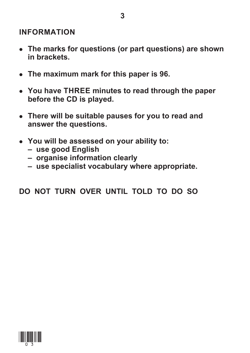#### **INFORMATION**

- **The marks for questions (or part questions) are shown in brackets.**
- **The maximum mark for this paper is 96.**
- **You have THREE minutes to read through the paper before the CD is played.**
- **There will be suitable pauses for you to read and answer the questions.**
- **You will be assessed on your ability to:**
	- **use good English**
	- **organise information clearly**
	- **use specialist vocabulary where appropriate.**

#### **DO NOT TURN OVER UNTIL TOLD TO DO SO**

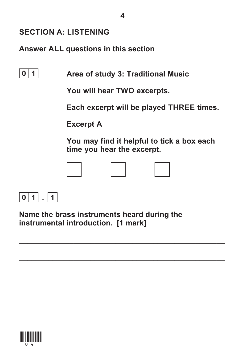#### **SECTION A: LISTENING**

**Answer ALL questions in this section**

**0 1 Area of study 3: Traditional Music**

 **You will hear TWO excerpts.**

 **Each excerpt will be played THREE times.** 

 **Excerpt A**

 **You may find it helpful to tick a box each time you hear the excerpt.**







**Name the brass instruments heard during the instrumental introduction. [1 mark]**

**\_\_\_\_\_\_\_\_\_\_\_\_\_\_\_\_\_\_\_\_\_\_\_\_\_\_\_\_\_\_\_\_\_\_\_\_\_\_\_\_\_\_\_\_\_\_\_\_\_**

**\_\_\_\_\_\_\_\_\_\_\_\_\_\_\_\_\_\_\_\_\_\_\_\_\_\_\_\_\_\_\_\_\_\_\_\_\_\_\_\_\_\_\_\_\_\_\_\_\_**

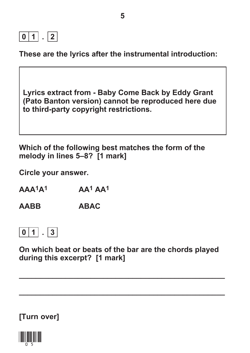

**These are the lyrics after the instrumental introduction:**

**Lyrics extract from - Baby Come Back by Eddy Grant (Pato Banton version) cannot be reproduced here due to third-party copyright restrictions.**

**Which of the following best matches the form of the melody in lines 5–8? [1 mark]**

**Circle your answer.**

**AAA1A1 AA1 AA1**

**AABB ABAC**



**On which beat or beats of the bar are the chords played during this excerpt? [1 mark]**

**\_\_\_\_\_\_\_\_\_\_\_\_\_\_\_\_\_\_\_\_\_\_\_\_\_\_\_\_\_\_\_\_\_\_\_\_\_\_\_\_\_\_\_\_\_\_\_\_\_**

**\_\_\_\_\_\_\_\_\_\_\_\_\_\_\_\_\_\_\_\_\_\_\_\_\_\_\_\_\_\_\_\_\_\_\_\_\_\_\_\_\_\_\_\_\_\_\_\_\_**

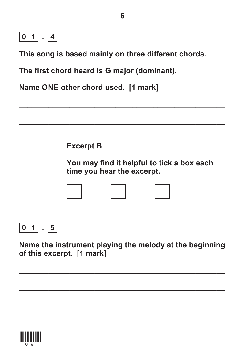

This song is based mainly on three different chords.

The first chord heard is G major (dominant).

**Name ONE other chord used. [1 mark]**



**\_\_\_\_\_\_\_\_\_\_\_\_\_\_\_\_\_\_\_\_\_\_\_\_\_\_\_\_\_\_\_\_\_\_\_\_\_\_\_\_\_\_\_\_\_\_\_\_\_**

**\_\_\_\_\_\_\_\_\_\_\_\_\_\_\_\_\_\_\_\_\_\_\_\_\_\_\_\_\_\_\_\_\_\_\_\_\_\_\_\_\_\_\_\_\_\_\_\_\_**

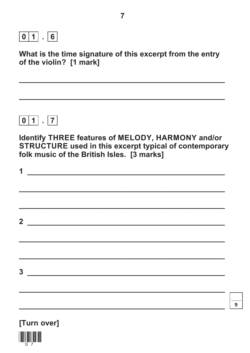

What is the time signature of this excerpt from the entry of the violin? [1 mark]

 $\overline{\mathbf{7}}$ 

## $\boxed{0}$   $\boxed{1}$  .  $\boxed{7}$

**Identify THREE features of MELODY, HARMONY and/or** STRUCTURE used in this excerpt typical of contemporary folk music of the British Isles. [3 marks]

| 1              | and the control of the control of the control of the control of the control of the control of |  |  |
|----------------|-----------------------------------------------------------------------------------------------|--|--|
|                |                                                                                               |  |  |
|                |                                                                                               |  |  |
| $\overline{2}$ |                                                                                               |  |  |
|                |                                                                                               |  |  |
|                |                                                                                               |  |  |
| 3              |                                                                                               |  |  |
|                |                                                                                               |  |  |
|                |                                                                                               |  |  |
| [Turn over]    |                                                                                               |  |  |

9

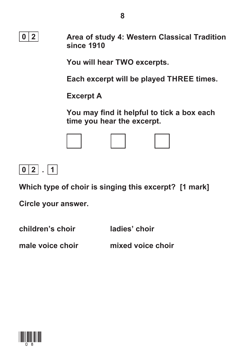|--|

**0 2 Area of study 4: Western Classical Tradition since 1910**

 **You will hear TWO excerpts.**

 **Each excerpt will be played THREE times.**

 **Excerpt A**

**You may find it helpful to tick a box each time you hear the excerpt.**





**Which type of choir is singing this excerpt? [1 mark]**

**Circle your answer.**

**children's choir ladies' choir**

**male voice choir mixed voice choir**

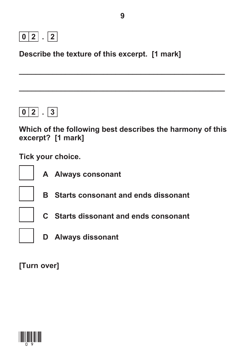**\_\_\_\_\_\_\_\_\_\_\_\_\_\_\_\_\_\_\_\_\_\_\_\_\_\_\_\_\_\_\_\_\_\_\_\_\_\_\_\_\_\_\_\_\_\_\_\_\_**

**\_\_\_\_\_\_\_\_\_\_\_\_\_\_\_\_\_\_\_\_\_\_\_\_\_\_\_\_\_\_\_\_\_\_\_\_\_\_\_\_\_\_\_\_\_\_\_\_\_**



**Describe the texture of this excerpt. [1 mark]**

 $\boxed{0}$   $\boxed{2}$   $\boxed{3}$ 

**Which of the following best describes the harmony of this excerpt? [1 mark]**

**Tick your choice.**



**A Always consonant**





**C Starts dissonant and ends consonant**



**D Always dissonant**

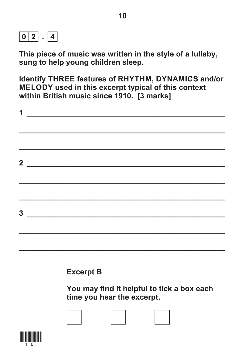|--|--|--|--|

**This piece of music was written in the style of a lullaby, sung to help young children sleep.**

**Identify THREE features of RHYTHM, DYNAMICS and/or MELODY used in this excerpt typical of this context within British music since 1910. [3 marks]**

| 1 |                               |  |  |
|---|-------------------------------|--|--|
|   |                               |  |  |
|   |                               |  |  |
|   | $2 \overline{ }$              |  |  |
|   |                               |  |  |
|   |                               |  |  |
|   | $3 \overline{\qquad \qquad }$ |  |  |
|   |                               |  |  |
|   |                               |  |  |

**\_\_\_\_\_\_\_\_\_\_\_\_\_\_\_\_\_\_\_\_\_\_\_\_\_\_\_\_\_\_\_\_\_\_\_\_\_\_\_\_\_\_\_\_\_\_\_\_\_**

 **Excerpt B**

**You may find it helpful to tick a box each time you hear the excerpt.**



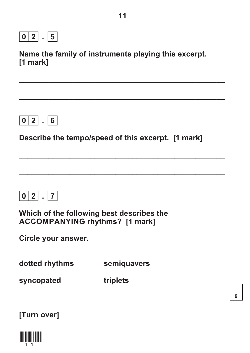

**Name the family of instruments playing this excerpt. [1 mark]**

**\_\_\_\_\_\_\_\_\_\_\_\_\_\_\_\_\_\_\_\_\_\_\_\_\_\_\_\_\_\_\_\_\_\_\_\_\_\_\_\_\_\_\_\_\_\_\_\_\_**

**\_\_\_\_\_\_\_\_\_\_\_\_\_\_\_\_\_\_\_\_\_\_\_\_\_\_\_\_\_\_\_\_\_\_\_\_\_\_\_\_\_\_\_\_\_\_\_\_\_**

**\_\_\_\_\_\_\_\_\_\_\_\_\_\_\_\_\_\_\_\_\_\_\_\_\_\_\_\_\_\_\_\_\_\_\_\_\_\_\_\_\_\_\_\_\_\_\_\_\_**

**\_\_\_\_\_\_\_\_\_\_\_\_\_\_\_\_\_\_\_\_\_\_\_\_\_\_\_\_\_\_\_\_\_\_\_\_\_\_\_\_\_\_\_\_\_\_\_\_\_**



#### **Describe the tempo/speed of this excerpt. [1 mark]**

 $\boxed{0|2}$  .  $\boxed{7}$ 

**Which of the following best describes the ACCOMPANYING rhythms? [1 mark]**

**Circle your answer.**

**dotted rhythms semiquavers**

syncopated triplets

**[Turn over]**



**9**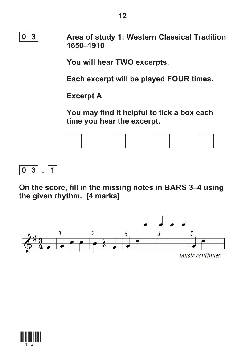**0 3 Area of study 1: Western Classical Tradition 1650–1910**

 **You will hear TWO excerpts.**

 **Each excerpt will be played FOUR times.**

 **Excerpt A**

**You may find it helpful to tick a box each time you hear the excerpt.**





On the score, fill in the missing notes in BARS 3-4 using **the given rhythm. [4 marks]**



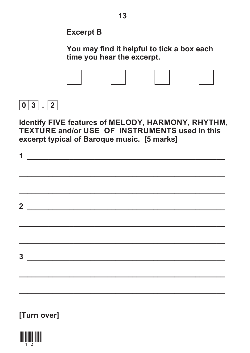**Excerpt B**

**You may find it helpful to tick a box each time you hear the excerpt.**



## $\boxed{0}$   $\boxed{3}$  .  $\boxed{2}$

**Identify FIVE features of MELODY, HARMONY, RHYTHM, TEXTURE and/or USE OF INSTRUMENTS used in this excerpt typical of Baroque music. [5 marks]**

| $\frac{1}{2}$ . The contract of the contract of the contract of the contract of the contract of the contract of the contract of the contract of the contract of the contract of the contract of the contract of the contract of t                                                                                                                                                                                                                |
|--------------------------------------------------------------------------------------------------------------------------------------------------------------------------------------------------------------------------------------------------------------------------------------------------------------------------------------------------------------------------------------------------------------------------------------------------|
|                                                                                                                                                                                                                                                                                                                                                                                                                                                  |
|                                                                                                                                                                                                                                                                                                                                                                                                                                                  |
| $\begin{array}{c c} \hline \textbf{2} & \textbf{3} & \textbf{1} \\ \hline \textbf{3} & \textbf{1} & \textbf{1} \\ \hline \textbf{4} & \textbf{1} & \textbf{1} \\ \hline \textbf{5} & \textbf{1} & \textbf{1} \\ \hline \textbf{6} & \textbf{1} & \textbf{1} \\ \hline \textbf{7} & \textbf{1} & \textbf{1} \\ \hline \textbf{8} & \textbf{1} & \textbf{1} \\ \hline \textbf{9} & \textbf{1} & \textbf{1} \\ \hline \textbf{10} & \textbf{1} & \$ |
|                                                                                                                                                                                                                                                                                                                                                                                                                                                  |
|                                                                                                                                                                                                                                                                                                                                                                                                                                                  |
| 3                                                                                                                                                                                                                                                                                                                                                                                                                                                |
|                                                                                                                                                                                                                                                                                                                                                                                                                                                  |

**\_\_\_\_\_\_\_\_\_\_\_\_\_\_\_\_\_\_\_\_\_\_\_\_\_\_\_\_\_\_\_\_\_\_\_\_\_\_\_\_\_\_\_\_\_\_\_\_\_**

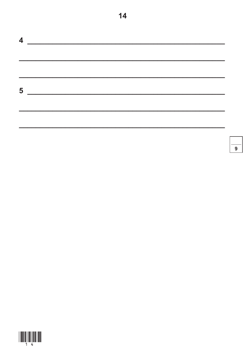| 4 | <u> 1999 - Johann John Stone, mars et al. (</u> |  |
|---|-------------------------------------------------|--|
|   |                                                 |  |
|   | $5\overline{)}$                                 |  |
|   |                                                 |  |
|   |                                                 |  |

 $\overline{9}$ 

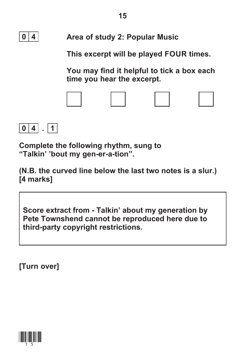

**0 4 Area of study 2: Popular Music**

 **This excerpt will be played FOUR times.**

**You may find it helpful to tick a box each time you hear the excerpt.**



 $0|4|$ . |1|

**Complete the following rhythm, sung to "Talkin' 'bout my gen-er-a-tion".**

**(N.B. the curved line below the last two notes is a slur.) [4 marks]**

**Score extract from - Talkin' about my generation by Pete Townshend cannot be reproduced here due to third-party copyright restrictions.**

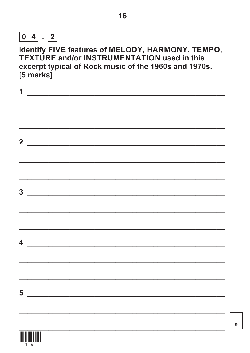

Identify FIVE features of MELODY, HARMONY, TEMPO, **TEXTURE and/or INSTRUMENTATION used in this** excerpt typical of Rock music of the 1960s and 1970s.  $[5$  marks $]$ 

| $\begin{array}{c} \n 1 \end{array}$ |
|-------------------------------------|
|                                     |
|                                     |
| $2\overline{\phantom{a}}$           |
|                                     |
|                                     |
|                                     |
|                                     |
|                                     |
| $\overline{4}$                      |
|                                     |
|                                     |
|                                     |
|                                     |
|                                     |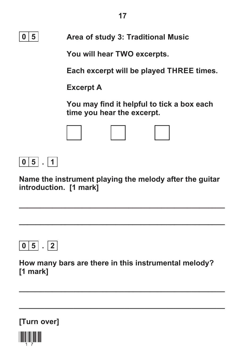

**0 5 Area of study 3: Traditional Music**

 **You will hear TWO excerpts.**

 **Each excerpt will be played THREE times.**

 **Excerpt A**

**You may find it helpful to tick a box each time you hear the excerpt.**



|--|--|--|--|--|

**Name the instrument playing the melody after the guitar introduction. [1 mark]**

**\_\_\_\_\_\_\_\_\_\_\_\_\_\_\_\_\_\_\_\_\_\_\_\_\_\_\_\_\_\_\_\_\_\_\_\_\_\_\_\_\_\_\_\_\_\_\_\_\_**

**\_\_\_\_\_\_\_\_\_\_\_\_\_\_\_\_\_\_\_\_\_\_\_\_\_\_\_\_\_\_\_\_\_\_\_\_\_\_\_\_\_\_\_\_\_\_\_\_\_**

 $0|5|$ . |2|

**How many bars are there in this instrumental melody? [1 mark]**

**\_\_\_\_\_\_\_\_\_\_\_\_\_\_\_\_\_\_\_\_\_\_\_\_\_\_\_\_\_\_\_\_\_\_\_\_\_\_\_\_\_\_\_\_\_\_\_\_\_**

**\_\_\_\_\_\_\_\_\_\_\_\_\_\_\_\_\_\_\_\_\_\_\_\_\_\_\_\_\_\_\_\_\_\_\_\_\_\_\_\_\_\_\_\_\_\_\_\_\_**

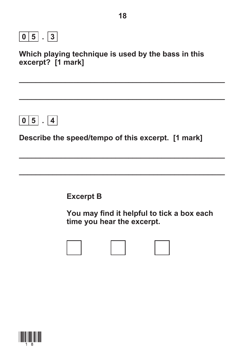

**Which playing technique is used by the bass in this excerpt? [1 mark]**

**\_\_\_\_\_\_\_\_\_\_\_\_\_\_\_\_\_\_\_\_\_\_\_\_\_\_\_\_\_\_\_\_\_\_\_\_\_\_\_\_\_\_\_\_\_\_\_\_\_**

**\_\_\_\_\_\_\_\_\_\_\_\_\_\_\_\_\_\_\_\_\_\_\_\_\_\_\_\_\_\_\_\_\_\_\_\_\_\_\_\_\_\_\_\_\_\_\_\_\_**

**\_\_\_\_\_\_\_\_\_\_\_\_\_\_\_\_\_\_\_\_\_\_\_\_\_\_\_\_\_\_\_\_\_\_\_\_\_\_\_\_\_\_\_\_\_\_\_\_\_**

**\_\_\_\_\_\_\_\_\_\_\_\_\_\_\_\_\_\_\_\_\_\_\_\_\_\_\_\_\_\_\_\_\_\_\_\_\_\_\_\_\_\_\_\_\_\_\_\_\_**



#### **Describe the speed/tempo of this excerpt. [1 mark]**

 **Excerpt B**

**You may find it helpful to tick a box each time you hear the excerpt.**



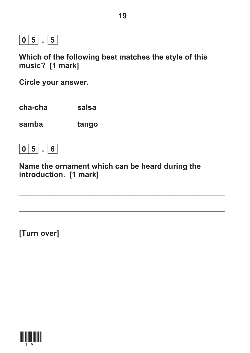

**Which of the following best matches the style of this music? [1 mark]**

**Circle your answer.**

**cha-cha salsa**

**samba tango**



**Name the ornament which can be heard during the introduction. [1 mark]**

**\_\_\_\_\_\_\_\_\_\_\_\_\_\_\_\_\_\_\_\_\_\_\_\_\_\_\_\_\_\_\_\_\_\_\_\_\_\_\_\_\_\_\_\_\_\_\_\_\_**

**\_\_\_\_\_\_\_\_\_\_\_\_\_\_\_\_\_\_\_\_\_\_\_\_\_\_\_\_\_\_\_\_\_\_\_\_\_\_\_\_\_\_\_\_\_\_\_\_\_**

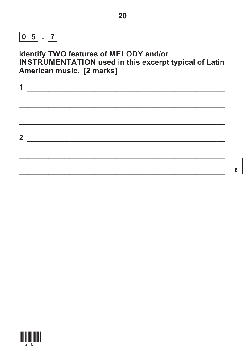

## Identify TWO features of MELODY and/or<br>INSTRUMENTATION used in this excerpt typical of Latin American music. [2 marks]

| $\mathbf{1}$ | <u> 1989 - Johann John Stein, market fan it ferstjer fan de Amerikaanske kommunister fan it ferstjer fan it fers</u> |
|--------------|----------------------------------------------------------------------------------------------------------------------|
|              |                                                                                                                      |
|              |                                                                                                                      |
|              | $\overline{\mathbf{r}}$                                                                                              |
|              |                                                                                                                      |
|              |                                                                                                                      |

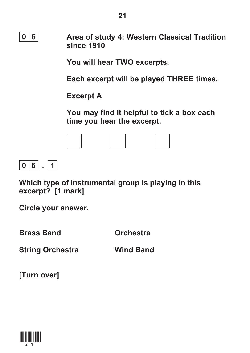

**0 6 Area of study 4: Western Classical Tradition since 1910**

 **You will hear TWO excerpts.**

 **Each excerpt will be played THREE times.**

 **Excerpt A**

**You may find it helpful to tick a box each time you hear the excerpt.**





**Which type of instrumental group is playing in this excerpt? [1 mark]**

**Circle your answer.**

**Brass Band Orchestra**

**String Orchestra Wind Band**

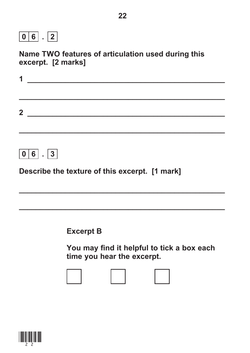

**Name TWO features of articulation used during this excerpt. [2 marks]**

| 1                                               |                                                                          |
|-------------------------------------------------|--------------------------------------------------------------------------|
| $\overline{2}$                                  |                                                                          |
|                                                 |                                                                          |
| $\vert$ 0 $\vert$ 6 $\vert$ . $\vert$ 3 $\vert$ |                                                                          |
|                                                 | Describe the texture of this excerpt. [1 mark]                           |
|                                                 |                                                                          |
|                                                 |                                                                          |
|                                                 | <b>Excerpt B</b>                                                         |
|                                                 | You may find it helpful to tick a box each<br>time you hear the excerpt. |
|                                                 |                                                                          |

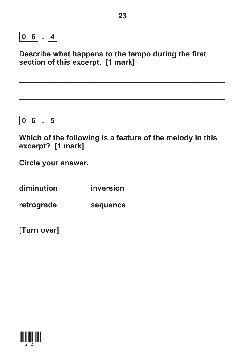

**Describe what happens to the tempo during the first section of this excerpt. [1 mark]**

**\_\_\_\_\_\_\_\_\_\_\_\_\_\_\_\_\_\_\_\_\_\_\_\_\_\_\_\_\_\_\_\_\_\_\_\_\_\_\_\_\_\_\_\_\_\_\_\_\_**

**\_\_\_\_\_\_\_\_\_\_\_\_\_\_\_\_\_\_\_\_\_\_\_\_\_\_\_\_\_\_\_\_\_\_\_\_\_\_\_\_\_\_\_\_\_\_\_\_\_**



**Which of the following is a feature of the melody in this excerpt? [1 mark]**

**Circle your answer.**

**diminution inversion**

**retrograde sequence**

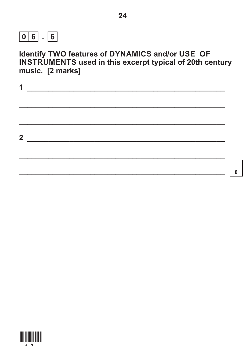|--|--|--|--|

Identify TWO features of DYNAMICS and/or USE OF<br>INSTRUMENTS used in this excerpt typical of 20th century music. [2 marks]

| $\overline{\mathbf{2}}$ | <u> 2002 - Johann John Stone, meister für der Stone (</u> |  |  |  |
|-------------------------|-----------------------------------------------------------|--|--|--|
|                         |                                                           |  |  |  |
|                         |                                                           |  |  |  |
|                         |                                                           |  |  |  |

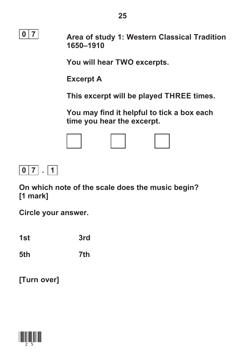

**0 7 Area of study 1: Western Classical Tradition 1650–1910**

 **You will hear TWO excerpts.**

 **Excerpt A**

 **This excerpt will be played THREE times.**

**You may find it helpful to tick a box each time you hear the excerpt.**





**On which note of the scale does the music begin? [1 mark]**

**Circle your answer.**

**1st 3rd**

**5th 7th**

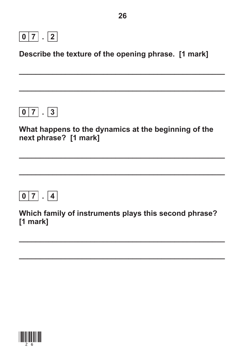

**Describe the texture of the opening phrase. [1 mark]**

**\_\_\_\_\_\_\_\_\_\_\_\_\_\_\_\_\_\_\_\_\_\_\_\_\_\_\_\_\_\_\_\_\_\_\_\_\_\_\_\_\_\_\_\_\_\_\_\_\_**

**\_\_\_\_\_\_\_\_\_\_\_\_\_\_\_\_\_\_\_\_\_\_\_\_\_\_\_\_\_\_\_\_\_\_\_\_\_\_\_\_\_\_\_\_\_\_\_\_\_**



**What happens to the dynamics at the beginning of the next phrase? [1 mark]**

**\_\_\_\_\_\_\_\_\_\_\_\_\_\_\_\_\_\_\_\_\_\_\_\_\_\_\_\_\_\_\_\_\_\_\_\_\_\_\_\_\_\_\_\_\_\_\_\_\_**

**\_\_\_\_\_\_\_\_\_\_\_\_\_\_\_\_\_\_\_\_\_\_\_\_\_\_\_\_\_\_\_\_\_\_\_\_\_\_\_\_\_\_\_\_\_\_\_\_\_**



**Which family of instruments plays this second phrase? [1 mark]**

**\_\_\_\_\_\_\_\_\_\_\_\_\_\_\_\_\_\_\_\_\_\_\_\_\_\_\_\_\_\_\_\_\_\_\_\_\_\_\_\_\_\_\_\_\_\_\_\_\_**

**\_\_\_\_\_\_\_\_\_\_\_\_\_\_\_\_\_\_\_\_\_\_\_\_\_\_\_\_\_\_\_\_\_\_\_\_\_\_\_\_\_\_\_\_\_\_\_\_\_**

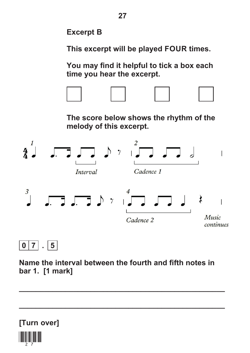**Excerpt B**

 **This excerpt will be played FOUR times.**

**You may find it helpful to tick a box each time you hear the excerpt.**

 **The score below shows the rhythm of the melody of this excerpt.**



 $0|7|$ . 5

**Name the interval between the fourth and fifth notes in bar 1. [1 mark]**

**\_\_\_\_\_\_\_\_\_\_\_\_\_\_\_\_\_\_\_\_\_\_\_\_\_\_\_\_\_\_\_\_\_\_\_\_\_\_\_\_\_\_\_\_\_\_\_\_\_**

**\_\_\_\_\_\_\_\_\_\_\_\_\_\_\_\_\_\_\_\_\_\_\_\_\_\_\_\_\_\_\_\_\_\_\_\_\_\_\_\_\_\_\_\_\_\_\_\_\_**

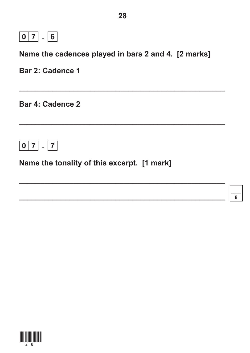

**Name the cadences played in bars 2 and 4. [2 marks]**

**\_\_\_\_\_\_\_\_\_\_\_\_\_\_\_\_\_\_\_\_\_\_\_\_\_\_\_\_\_\_\_\_\_\_\_\_\_\_\_\_\_\_\_\_\_\_\_\_\_**

**\_\_\_\_\_\_\_\_\_\_\_\_\_\_\_\_\_\_\_\_\_\_\_\_\_\_\_\_\_\_\_\_\_\_\_\_\_\_\_\_\_\_\_\_\_\_\_\_\_**

**\_\_\_\_\_\_\_\_\_\_\_\_\_\_\_\_\_\_\_\_\_\_\_\_\_\_\_\_\_\_\_\_\_\_\_\_\_\_\_\_\_\_\_\_\_\_\_\_\_**

**Bar 2: Cadence 1**

**Bar 4: Cadence 2**

**07 . 7**

**Name the tonality of this excerpt. [1 mark]**

**\_\_\_\_\_\_\_\_\_\_\_\_\_\_\_\_\_\_\_\_\_\_\_\_\_\_\_\_\_\_\_\_\_\_\_\_\_\_\_\_\_\_\_\_\_\_\_\_\_** \_\_\_\_ **8**

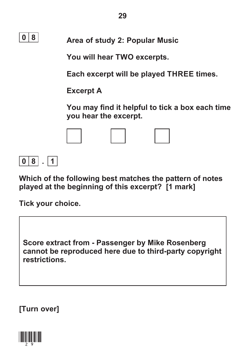

**0 8 Area of study 2: Popular Music** 

 **You will hear TWO excerpts.**

 **Each excerpt will be played THREE times.**

 **Excerpt A**

**You may find it helpful to tick a box each time you hear the excerpt.**



|--|--|--|--|

**Which of the following best matches the pattern of notes played at the beginning of this excerpt? [1 mark]**

**Tick your choice.**

**Score extract from - Passenger by Mike Rosenberg cannot be reproduced here due to third-party copyright restrictions.**

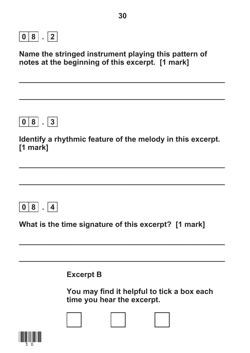

**Name the stringed instrument playing this pattern of notes at the beginning of this excerpt. [1 mark]**

**\_\_\_\_\_\_\_\_\_\_\_\_\_\_\_\_\_\_\_\_\_\_\_\_\_\_\_\_\_\_\_\_\_\_\_\_\_\_\_\_\_\_\_\_\_\_\_\_\_**

**\_\_\_\_\_\_\_\_\_\_\_\_\_\_\_\_\_\_\_\_\_\_\_\_\_\_\_\_\_\_\_\_\_\_\_\_\_\_\_\_\_\_\_\_\_\_\_\_\_**



**Identify a rhythmic feature of the melody in this excerpt. [1 mark]**

**\_\_\_\_\_\_\_\_\_\_\_\_\_\_\_\_\_\_\_\_\_\_\_\_\_\_\_\_\_\_\_\_\_\_\_\_\_\_\_\_\_\_\_\_\_\_\_\_\_**

**\_\_\_\_\_\_\_\_\_\_\_\_\_\_\_\_\_\_\_\_\_\_\_\_\_\_\_\_\_\_\_\_\_\_\_\_\_\_\_\_\_\_\_\_\_\_\_\_\_**

**\_\_\_\_\_\_\_\_\_\_\_\_\_\_\_\_\_\_\_\_\_\_\_\_\_\_\_\_\_\_\_\_\_\_\_\_\_\_\_\_\_\_\_\_\_\_\_\_\_**

**\_\_\_\_\_\_\_\_\_\_\_\_\_\_\_\_\_\_\_\_\_\_\_\_\_\_\_\_\_\_\_\_\_\_\_\_\_\_\_\_\_\_\_\_\_\_\_\_\_**



**What is the time signature of this excerpt? [1 mark]**

 **Excerpt B**

**You may find it helpful to tick a box each time you hear the excerpt.**

![](_page_29_Picture_8.jpeg)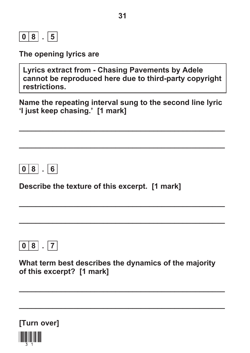**08 . 5**

**The opening lyrics are**

**Lyrics extract from - Chasing Pavements by Adele cannot be reproduced here due to third-party copyright restrictions.**

**Name the repeating interval sung to the second line lyric 'I just keep chasing.' [1 mark]**

**\_\_\_\_\_\_\_\_\_\_\_\_\_\_\_\_\_\_\_\_\_\_\_\_\_\_\_\_\_\_\_\_\_\_\_\_\_\_\_\_\_\_\_\_\_\_\_\_\_**

**\_\_\_\_\_\_\_\_\_\_\_\_\_\_\_\_\_\_\_\_\_\_\_\_\_\_\_\_\_\_\_\_\_\_\_\_\_\_\_\_\_\_\_\_\_\_\_\_\_**

**\_\_\_\_\_\_\_\_\_\_\_\_\_\_\_\_\_\_\_\_\_\_\_\_\_\_\_\_\_\_\_\_\_\_\_\_\_\_\_\_\_\_\_\_\_\_\_\_\_**

**\_\_\_\_\_\_\_\_\_\_\_\_\_\_\_\_\_\_\_\_\_\_\_\_\_\_\_\_\_\_\_\_\_\_\_\_\_\_\_\_\_\_\_\_\_\_\_\_\_**

![](_page_30_Picture_4.jpeg)

**Describe the texture of this excerpt. [1 mark]**

 $0|8|.|7|$ 

**What term best describes the dynamics of the majority of this excerpt? [1 mark]**

**\_\_\_\_\_\_\_\_\_\_\_\_\_\_\_\_\_\_\_\_\_\_\_\_\_\_\_\_\_\_\_\_\_\_\_\_\_\_\_\_\_\_\_\_\_\_\_\_\_**

**\_\_\_\_\_\_\_\_\_\_\_\_\_\_\_\_\_\_\_\_\_\_\_\_\_\_\_\_\_\_\_\_\_\_\_\_\_\_\_\_\_\_\_\_\_\_\_\_\_**

![](_page_30_Figure_8.jpeg)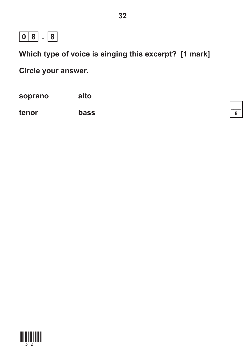![](_page_31_Picture_0.jpeg)

#### **Which type of voice is singing this excerpt? [1 mark]**

**Circle your answer.**

**soprano alto**

tenor bass  $\frac{1}{8}$ 

![](_page_31_Picture_5.jpeg)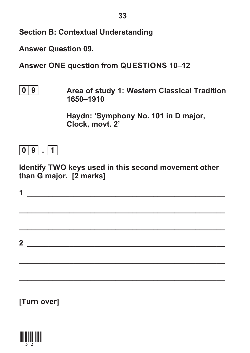**Section B: Contextual Understanding**

**Answer Question 09.**

**Answer ONE question from QUESTIONS 10–12**

**0 9 Area of study 1: Western Classical Tradition 1650–1910**

> **Haydn: 'Symphony No. 101 in D major, Clock, movt. 2'**

![](_page_32_Picture_6.jpeg)

**Identify TWO keys used in this second movement other than G major. [2 marks]**

**1 \_\_\_\_\_\_\_\_\_\_\_\_\_\_\_\_\_\_\_\_\_\_\_\_\_\_\_\_\_\_\_\_\_\_\_\_\_\_\_\_\_\_\_\_\_\_\_ \_\_\_\_\_\_\_\_\_\_\_\_\_\_\_\_\_\_\_\_\_\_\_\_\_\_\_\_\_\_\_\_\_\_\_\_\_\_\_\_\_\_\_\_\_\_\_\_\_ \_\_\_\_\_\_\_\_\_\_\_\_\_\_\_\_\_\_\_\_\_\_\_\_\_\_\_\_\_\_\_\_\_\_\_\_\_\_\_\_\_\_\_\_\_\_\_\_\_ 2 \_\_\_\_\_\_\_\_\_\_\_\_\_\_\_\_\_\_\_\_\_\_\_\_\_\_\_\_\_\_\_\_\_\_\_\_\_\_\_\_\_\_\_\_\_\_\_**

**\_\_\_\_\_\_\_\_\_\_\_\_\_\_\_\_\_\_\_\_\_\_\_\_\_\_\_\_\_\_\_\_\_\_\_\_\_\_\_\_\_\_\_\_\_\_\_\_\_**

**\_\_\_\_\_\_\_\_\_\_\_\_\_\_\_\_\_\_\_\_\_\_\_\_\_\_\_\_\_\_\_\_\_\_\_\_\_\_\_\_\_\_\_\_\_\_\_\_\_**

![](_page_32_Picture_10.jpeg)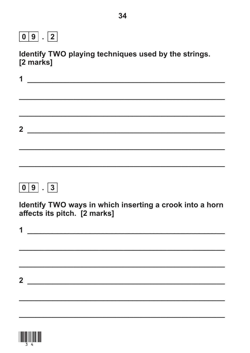![](_page_33_Picture_0.jpeg)

Identify TWO playing techniques used by the strings.<br>[2 marks]

| 1                                                                                                                                       |
|-----------------------------------------------------------------------------------------------------------------------------------------|
|                                                                                                                                         |
|                                                                                                                                         |
| $\overline{2}$<br><u> 1989 - Johann John Stone, mars eta bainar eta hiri eta erroman erroman erroman erroman erroman erroman erroma</u> |
|                                                                                                                                         |
|                                                                                                                                         |
| $\boxed{0 9}$ . $\boxed{3}$                                                                                                             |
| Identify TWO ways in which inserting a crook into a horn<br>affects its pitch. [2 marks]                                                |
| <u> 1989 - Johann Harry Barn, mars ar breist ar breist ar breist ar breist ar breist ar breist ar breist ar breis</u><br>1              |
|                                                                                                                                         |
|                                                                                                                                         |
|                                                                                                                                         |
|                                                                                                                                         |
|                                                                                                                                         |

![](_page_33_Picture_3.jpeg)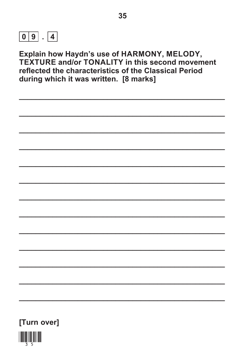![](_page_34_Picture_0.jpeg)

Explain how Haydn's use of HARMONY, MELODY,<br>TEXTURE and/or TONALITY in this second movement reflected the characteristics of the Classical Period during which it was written. [8 marks]

| [Turn over] |  |  |  |
|-------------|--|--|--|

![](_page_34_Picture_3.jpeg)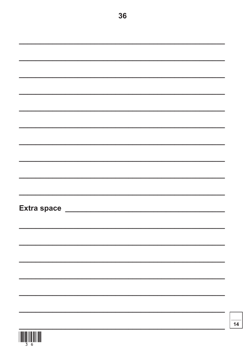|  | 36 |  |
|--|----|--|
|  |    |  |
|  |    |  |
|  |    |  |
|  |    |  |
|  |    |  |
|  |    |  |
|  |    |  |
|  |    |  |
|  |    |  |
|  |    |  |
|  |    |  |
|  |    |  |
|  |    |  |
|  |    |  |
|  |    |  |
|  |    |  |
|  |    |  |
|  |    |  |
|  |    |  |
|  |    |  |
|  |    |  |
|  |    |  |
|  |    |  |
|  |    |  |

![](_page_35_Figure_1.jpeg)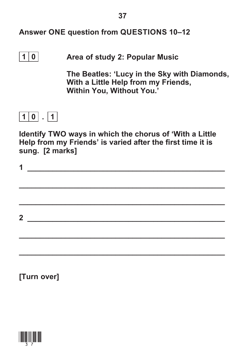**Answer ONE question from QUESTIONS 10–12**

**1 0 Area of study 2: Popular Music**

 **The Beatles: 'Lucy in the Sky with Diamonds, With a Little Help from my Friends, Within You, Without You.'**

![](_page_36_Picture_3.jpeg)

**Identify TWO ways in which the chorus of 'With a Little Help from my Friends' is varied after the first time it is sung. [2 marks]**

| $\mathbf 1$    |  |  |  |  |
|----------------|--|--|--|--|
|                |  |  |  |  |
|                |  |  |  |  |
| 2 <sub>2</sub> |  |  |  |  |
|                |  |  |  |  |
|                |  |  |  |  |
|                |  |  |  |  |

![](_page_36_Picture_7.jpeg)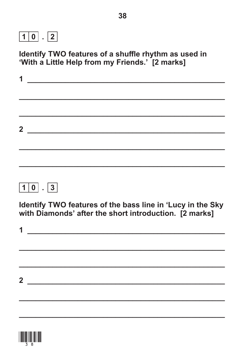### $1|0|$ .  $2|$

## Identify TWO features of a shuffle rhythm as used in<br>'With a Little Help from my Friends.' [2 marks]

| $\overline{2}$                                                                                                       |
|----------------------------------------------------------------------------------------------------------------------|
|                                                                                                                      |
|                                                                                                                      |
| $\vert$ 1 $\vert$ 0 $\vert$ . $\vert$ 3 $\vert$                                                                      |
| Identify TWO features of the bass line in 'Lucy in the Sky<br>with Diamonds' after the short introduction. [2 marks] |
|                                                                                                                      |
|                                                                                                                      |
|                                                                                                                      |
| $\mathbf{2}$                                                                                                         |
|                                                                                                                      |
|                                                                                                                      |

![](_page_37_Picture_3.jpeg)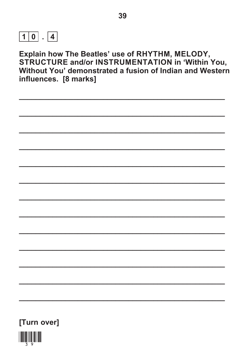![](_page_38_Picture_0.jpeg)

Explain how The Beatles' use of RHYTHM, MELODY,<br>STRUCTURE and/or INSTRUMENTATION in 'Within You, Without You' demonstrated a fusion of Indian and Western influences. [8 marks]

| <u> Andreas de la construcción de la construcción de la construcción de la construcción de la construcción de la c</u> |  |  |  |
|------------------------------------------------------------------------------------------------------------------------|--|--|--|
|                                                                                                                        |  |  |  |
|                                                                                                                        |  |  |  |
|                                                                                                                        |  |  |  |
|                                                                                                                        |  |  |  |
|                                                                                                                        |  |  |  |
|                                                                                                                        |  |  |  |
|                                                                                                                        |  |  |  |
|                                                                                                                        |  |  |  |
|                                                                                                                        |  |  |  |
|                                                                                                                        |  |  |  |
| <u> Andreas de la construcción de la construcción de la construcción de la construcción de la construcción de la c</u> |  |  |  |
|                                                                                                                        |  |  |  |
|                                                                                                                        |  |  |  |
|                                                                                                                        |  |  |  |
|                                                                                                                        |  |  |  |
|                                                                                                                        |  |  |  |
|                                                                                                                        |  |  |  |
|                                                                                                                        |  |  |  |
|                                                                                                                        |  |  |  |
|                                                                                                                        |  |  |  |
|                                                                                                                        |  |  |  |
|                                                                                                                        |  |  |  |
|                                                                                                                        |  |  |  |
|                                                                                                                        |  |  |  |
|                                                                                                                        |  |  |  |
|                                                                                                                        |  |  |  |
|                                                                                                                        |  |  |  |
|                                                                                                                        |  |  |  |
|                                                                                                                        |  |  |  |
|                                                                                                                        |  |  |  |
|                                                                                                                        |  |  |  |
|                                                                                                                        |  |  |  |
|                                                                                                                        |  |  |  |
|                                                                                                                        |  |  |  |
|                                                                                                                        |  |  |  |
|                                                                                                                        |  |  |  |
|                                                                                                                        |  |  |  |
|                                                                                                                        |  |  |  |
| [Turn over]                                                                                                            |  |  |  |
|                                                                                                                        |  |  |  |

![](_page_38_Picture_3.jpeg)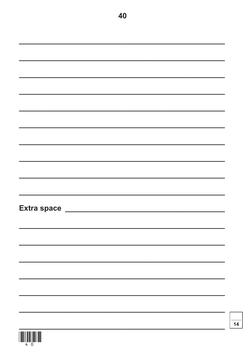|  | 40 |  |
|--|----|--|
|  |    |  |
|  |    |  |
|  |    |  |
|  |    |  |
|  |    |  |
|  |    |  |
|  |    |  |
|  |    |  |
|  |    |  |
|  |    |  |
|  |    |  |
|  |    |  |
|  |    |  |
|  |    |  |
|  |    |  |
|  |    |  |
|  |    |  |
|  |    |  |
|  |    |  |
|  |    |  |
|  |    |  |

![](_page_39_Picture_1.jpeg)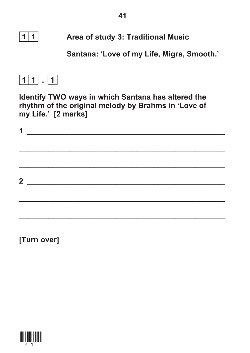![](_page_40_Picture_1.jpeg)

**1 1 Area of study 3: Traditional Music**

 **Santana: 'Love of my Life, Migra, Smooth.'**

![](_page_40_Picture_4.jpeg)

**Identify TWO ways in which Santana has altered the rhythm of the original melody by Brahms in 'Love of my Life.' [2 marks]**

**1 \_\_\_\_\_\_\_\_\_\_\_\_\_\_\_\_\_\_\_\_\_\_\_\_\_\_\_\_\_\_\_\_\_\_\_\_\_\_\_\_\_\_\_\_\_\_\_ \_\_\_\_\_\_\_\_\_\_\_\_\_\_\_\_\_\_\_\_\_\_\_\_\_\_\_\_\_\_\_\_\_\_\_\_\_\_\_\_\_\_\_\_\_\_\_\_\_ \_\_\_\_\_\_\_\_\_\_\_\_\_\_\_\_\_\_\_\_\_\_\_\_\_\_\_\_\_\_\_\_\_\_\_\_\_\_\_\_\_\_\_\_\_\_\_\_\_ 2 \_\_\_\_\_\_\_\_\_\_\_\_\_\_\_\_\_\_\_\_\_\_\_\_\_\_\_\_\_\_\_\_\_\_\_\_\_\_\_\_\_\_\_\_\_\_\_ \_\_\_\_\_\_\_\_\_\_\_\_\_\_\_\_\_\_\_\_\_\_\_\_\_\_\_\_\_\_\_\_\_\_\_\_\_\_\_\_\_\_\_\_\_\_\_\_\_ \_\_\_\_\_\_\_\_\_\_\_\_\_\_\_\_\_\_\_\_\_\_\_\_\_\_\_\_\_\_\_\_\_\_\_\_\_\_\_\_\_\_\_\_\_\_\_\_\_**

![](_page_40_Picture_8.jpeg)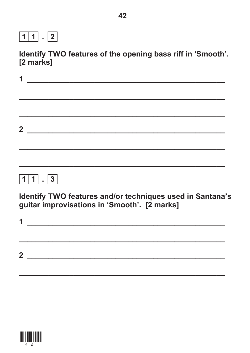|--|--|--|--|

Identify TWO features of the opening bass riff in 'Smooth'.<br>[2 marks]

| $\mathbf 2$<br><u> 1989 - Johann Stoff, deutscher Stoffen und der Stoffen und der Stoffen und der Stoffen und der Stoffen und der</u> |
|---------------------------------------------------------------------------------------------------------------------------------------|
|                                                                                                                                       |
|                                                                                                                                       |
| $ 1 1 $ . $ 3 $                                                                                                                       |
| Identify TWO features and/or techniques used in Santana's<br>guitar improvisations in 'Smooth'. [2 marks]                             |
| <u> 1989 - Johann John Stone, market fan it ferskearre fan it ferskearre fan it ferskearre fan it ferskearre fan </u>                 |
|                                                                                                                                       |
| <u> 1980 - John Harry Harry Harry Harry Harry Harry Harry Harry Harry Harry Harry Harry Harry Harry Harry Harry H</u><br>2            |
|                                                                                                                                       |

![](_page_41_Picture_3.jpeg)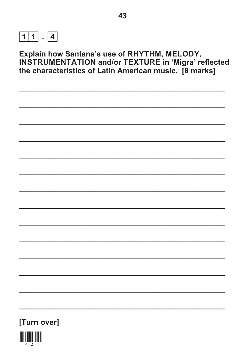|--|--|--|

## Explain how Santana's use of RHYTHM, MELODY,<br>INSTRUMENTATION and/or TEXTURE in 'Migra' reflected the characteristics of Latin American music. [8 marks]

|  |  | [Turn over] |
|--|--|-------------|
|  |  |             |

![](_page_42_Picture_3.jpeg)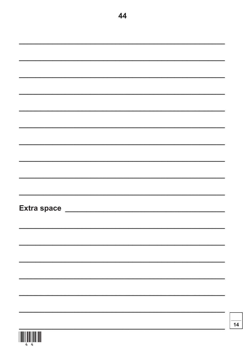| 44 |  |
|----|--|
|    |  |
|    |  |
|    |  |
|    |  |
|    |  |
|    |  |
|    |  |
|    |  |
|    |  |
|    |  |
|    |  |
|    |  |
|    |  |
|    |  |
|    |  |
|    |  |
|    |  |
|    |  |
|    |  |
|    |  |
|    |  |
|    |  |
|    |  |
|    |  |
|    |  |

![](_page_43_Picture_1.jpeg)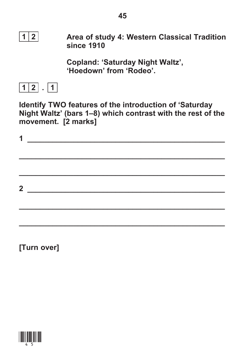![](_page_44_Picture_0.jpeg)

**1 2 Area of study 4: Western Classical Tradition since 1910**

> **Copland: 'Saturday Night Waltz', 'Hoedown' from 'Rodeo'.**

![](_page_44_Picture_3.jpeg)

**Identify TWO features of the introduction of 'Saturday Night Waltz' (bars 1–8) which contrast with the rest of the movement. [2 marks]**

**1 \_\_\_\_\_\_\_\_\_\_\_\_\_\_\_\_\_\_\_\_\_\_\_\_\_\_\_\_\_\_\_\_\_\_\_\_\_\_\_\_\_\_\_\_\_\_\_ \_\_\_\_\_\_\_\_\_\_\_\_\_\_\_\_\_\_\_\_\_\_\_\_\_\_\_\_\_\_\_\_\_\_\_\_\_\_\_\_\_\_\_\_\_\_\_\_\_ \_\_\_\_\_\_\_\_\_\_\_\_\_\_\_\_\_\_\_\_\_\_\_\_\_\_\_\_\_\_\_\_\_\_\_\_\_\_\_\_\_\_\_\_\_\_\_\_\_ 2 \_\_\_\_\_\_\_\_\_\_\_\_\_\_\_\_\_\_\_\_\_\_\_\_\_\_\_\_\_\_\_\_\_\_\_\_\_\_\_\_\_\_\_\_\_\_\_ \_\_\_\_\_\_\_\_\_\_\_\_\_\_\_\_\_\_\_\_\_\_\_\_\_\_\_\_\_\_\_\_\_\_\_\_\_\_\_\_\_\_\_\_\_\_\_\_\_ \_\_\_\_\_\_\_\_\_\_\_\_\_\_\_\_\_\_\_\_\_\_\_\_\_\_\_\_\_\_\_\_\_\_\_\_\_\_\_\_\_\_\_\_\_\_\_\_\_**

![](_page_44_Picture_7.jpeg)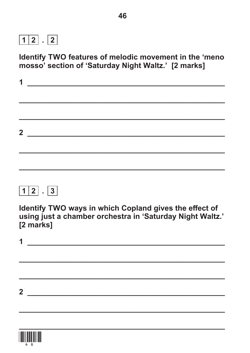## $1|2$ . 2

Identify TWO features of melodic movement in the 'meno<br>mosso' section of 'Saturday Night Waltz.' [2 marks]

| 1                                                                                                                   |
|---------------------------------------------------------------------------------------------------------------------|
|                                                                                                                     |
|                                                                                                                     |
| $\overline{\mathbf{2}}$                                                                                             |
|                                                                                                                     |
|                                                                                                                     |
| $\boxed{1 2}$ . $\boxed{3}$                                                                                         |
| Identify TWO ways in which Copland gives the effect of<br>using just a chamber orchestra in 'Saturday Night Waltz.' |

[2 marks]

 $\overline{\mathbf{1}}$ 

 $\overline{\mathbf{2}}$   $\overline{\mathbf{2}}$   $\overline{\mathbf{3}}$   $\overline{\mathbf{4}}$   $\overline{\mathbf{5}}$   $\overline{\mathbf{6}}$   $\overline{\mathbf{6}}$   $\overline{\mathbf{1}}$   $\overline{\mathbf{3}}$   $\overline{\mathbf{1}}$   $\overline{\mathbf{2}}$   $\overline{\mathbf{3}}$   $\overline{\mathbf{1}}$   $\overline{\mathbf{3}}$   $\overline{\mathbf{5}}$   $\overline{\mathbf{1}}$   $\overline{\mathbf{2}}$   $\overline{\mathbf{3}}$   $\overline{\$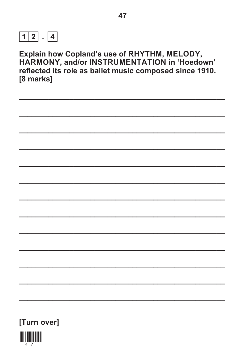$$
\boxed{1|2} \cdot \boxed{4}
$$

Explain how Copland's use of RHYTHM, MELODY,<br>HARMONY, and/or INSTRUMENTATION in 'Hoedown'<br>reflected its role as ballet music composed since 1910. [8 marks]

| <b>Turn overl</b> |  |  |  |
|-------------------|--|--|--|

![](_page_46_Picture_3.jpeg)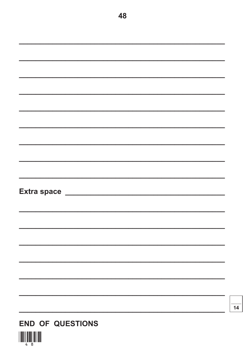| 48                      |
|-------------------------|
|                         |
|                         |
|                         |
|                         |
|                         |
|                         |
|                         |
|                         |
|                         |
|                         |
|                         |
|                         |
|                         |
|                         |
|                         |
|                         |
|                         |
|                         |
|                         |
|                         |
|                         |
|                         |
|                         |
|                         |
|                         |
|                         |
|                         |
|                         |
| <b>END OF QUESTIONS</b> |
|                         |
| 4 8                     |

 $14$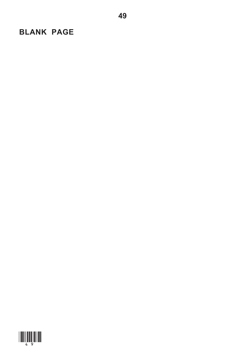#### **BLANK PAGE**